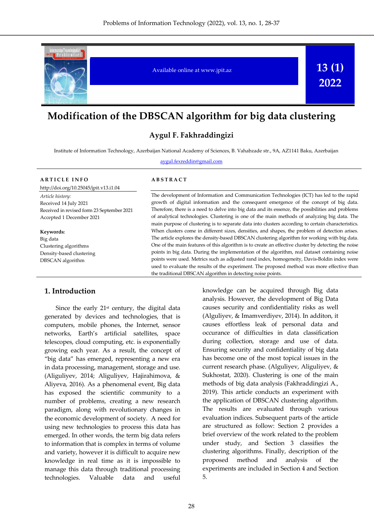

# **Modification of the DBSCAN algorithm for big data clustering**

## **Aygul F. Fakhraddingizi**

Institute of Information Technology, Azerbaijan National Academy of Sciences, B. Vahabzade str., 9A, AZ1141 Baku, Azerbaijan

#### aygul.fexreddin@gmail.com

#### **A R T I C L E I N F O**

http://doi.org/10.25045/jpit.v13.i1.04

*Article history:* Received 14 July 2021 Received in revised form 23 September 2021 Accepted 1 December 2021

**Keywords:** Big data Clustering algorithms Density-based clustering DBSCAN algorithm

#### **A B S T R A C T**

The development of Information and Communication Technologies (ICT) has led to the rapid growth of digital information and the consequent emergence of the concept of big data. Therefore, there is a need to delve into big data and its essence, the possibilities and problems of analytical technologies. Clustering is one of the main methods of analyzing big data. The main purpose of clustering is to separate data into clusters according to certain characteristics. When clusters come in different sizes, densities, and shapes, the problem of detection arises. The article explores the density-based DBSCAN clustering algorithm for working with big data. One of the main features of this algorithm is to create an effective cluster by detecting the noise points in big data. During the implementation of the algorithm, real dataset containing noise points were used. Metrics such as adjusted rand index, homogeneity, Davis-Boldin index were used to evaluate the results of the experiment. The proposed method was more effective than the traditional DBSCAN algorithm in detecting noise points.

#### **1. Introduction**

Since the early  $21<sup>st</sup>$  century, the digital data generated by devices and technologies, that is computers, mobile phones, the Internet, sensor networks, Earth's artificial satellites, space telescopes, cloud computing, etc. is exponentially growing each year. As a result, the concept of "big data" has emerged, representing a new era in data processing, management, storage and use. (Aliguliyev, 2014; Aliguliyev, Hajirahimova, & Aliyeva, 2016). As a phenomenal event, Big data has exposed the scientific community to a number of problems, creating a new research paradigm, along with revolutionary changes in the economic development of society. A need for using new technologies to process this data has emerged. In other words, the term big data refers to information that is complex in terms of volume and variety, however it is difficult to acquire new knowledge in real time as it is impossible to manage this data through traditional processing technologies. Valuable data and useful

knowledge can be acquired through Big data analysis. However, the development of Big Data causes security and confidentiality risks as well (Alguliyev, & Imamverdiyev, 2014). In additon, it causes effortless leak of personal data and occurance of difficulties in data classification during collection, storage and use of data. Ensuring security and confidentiality of big data has become one of the most topical issues in the current research phase. (Alguliyev, Aliguliyev, & Sukhostat, 2020). Clustering is one of the main methods of big data analysis (Fakhraddingizi A., 2019). This article conducts an experiment with the application of DBSCAN clustering algorithm. The results are evaluated through various evaluation indices. Subsequent parts of the article are structured as follow: Section 2 provides a brief overview of the work related to the problem under study, and Section 3 classifies the clustering algorithms. Finally, description of the proposed method and analysis of the experiments are included in Section 4 and Section 5.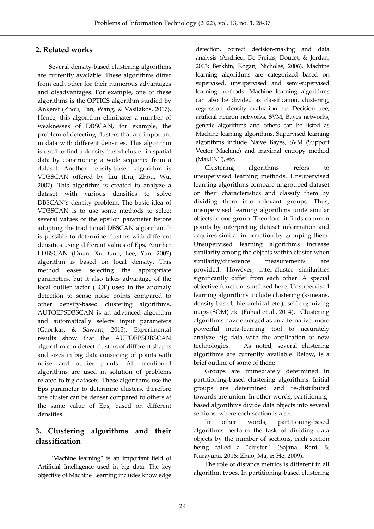# **2. Related works**

Several density-based clustering algorithms are currently available. These algorithms differ from each other for their numerous advantages and disadvantages. For example, one of these algorithms is the OPTICS algorithm studied by Ankerst (Zhou, Pan, Wang, & Vasilakos, 2017). Hence, this algorithm eliminates a number of weaknesses of DBSCAN, for example, the problem of detecting clusters that are important in data with different densities. This algorithm is used to find a density-based cluster in spatial data by constructing a wide sequence from a dataset. Another density-based algorithm is VDBSCAN offered by Liu (Liu, Zhou, Wu, 2007). This algorithm is created to analyze a dataset with various densities to solve DBSCAN's density problem. The basic idea of VDBSCAN is to use some methods to select several values of the epsilon parameter before adopting the traditional DBSCAN algorithm. It is possible to determine clusters with different densities using different values of Eps. Another LDBSCAN (Duan, Xu, Guo, Lee, Yan, 2007) algorithm is based on local density. This method eases selecting the appropriate parameters, but it also takes advantage of the local outlier factor (LOF) used in the anomaly detection to sense noise points compared to other density-based clustering algorithms. AUTOEPSDBSCAN is an advanced algorithm and automatically selects input parameters (Gaonkar, & Sawant, 2013). Experimental results show that the AUTOEPSDBSCAN algorithm can detect clusters of different shapes and sizes in big data consisting of points with noise and outlier points. All mentioned algorithms are used in solution of problems related to big datasets. These algorithms use the Eps parameter to determine clusters, therefore one cluster can be denser compared to others at the same value of Eps, based on different densities.

# **3. Clustering algorithms and their classification**

"Machine learning" is an important field of Artificial Intelligence used in big data. The key objective of Machine Learning includes knowledge detection, correct decision-making and data analysis (Andrieu, De Freitas, Doucet, & Jordan, 2003; Berkhin, Kogan, Nicholas, 2006). Machine learning algorithms are categorized based on supervised, unsupervised and semi-supervised learning methods. Machine learning algorithms can also be divided as classification, clustering, regression, density evaluation etc. Decision tree, artificial neuron networks, SVM, Bayes networks, genetic algorithms and others can be listed as Machine learning algorithms. Supervised learning algorithms include Naive Bayes, SVM (Support Vector Machine) and maximal entropy method (MaxENT), etc.

Clustering algorithms refers to unsupervised learning methods. Unsupervised learning algorithms compare ungrouped dataset on their characteristics and classify them by dividing them into relevant groups. Thus, unsupervised learning algorithms unite similar objects in one group. Therefore, it finds common points by interpreting dataset information and acquires similar information by grouping them. Unsupervised learning algorithms increase similarity among the objects within cluster when similarity/difference measurements are provided. However, inter-cluster similarities significantly differ from each other. A special objective function is utilized here. Unsupervised learning algorithms include clustering (k-means, density-based, hierarchical etc.), self-organizing maps (SOM) etc. (Fahad et al., 2014). Clustering algorithms have emerged as an alternative, more powerful meta-learning tool to accurately analyze big data with the application of new technologies. As noted, several clustering algorithms are currently available. Below, is a brief outline of some of them:

Groups are immediately determined in partitioning-based clustering algorithms. Initial groups are determined and re-distributed towards are union. In other words, partitioningbased algorithms divide data objects into several sections, where each section is a set.

In other words, partitioning-based algorithms perform the task of dividing data objects by the number of sections, each section being called a "cluster". (Sajana, Rani, & Narayana, 2016; Zhao, Ma, & He, 2009).

The role of distance metrics is different in all algorithm types. In partitioning-based clustering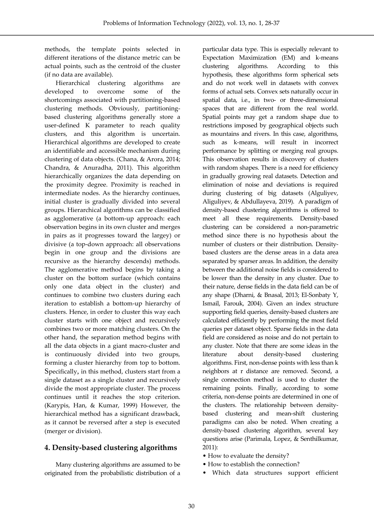methods, the template points selected in different iterations of the distance metric can be actual points, such as the centroid of the cluster (if no data are available).

Hierarchical clustering algorithms are developed to overcome some of the shortcomings associated with partitioning-based clustering methods. Obviously, partitioningbased clustering algorithms generally store a user-defined K parameter to reach quality clusters, and this algorithm is uncertain. Hierarchical algorithms are developed to create an identifiable and accessible mechanism during clustering of data objects. (Chana, & Arora, 2014; Chandra, & Anuradha, 2011). This algorithm hierarchically organizes the data depending on the proximity degree. Proximity is reached in intermediate nodes. As the hierarchy continues, initial cluster is gradually divided into several groups. Hierarchical algorithms can be classified as agglomerative (a bottom-up approach: each observation begins in its own cluster and merges in pairs as it progresses toward the largey) or divisive (a top-down approach: all observations begin in one group and the divisions are recursive as the hierarchy descends) methods. The agglomerative method begins by taking a cluster on the bottom surface (which contains only one data object in the cluster) and continues to combine two clusters during each iteration to establish a bottom-up hierarchy of clusters. Hence, in order to cluster this way each cluster starts with one object and recursively combines two or more matching clusters. On the other hand, the separation method begins with all the data objects in a giant macro-cluster and is continuously divided into two groups, forming a cluster hierarchy from top to bottom. Specifically, in this method, clusters start from a single dataset as a single cluster and recursively divide the most appropriate cluster. The process continues until it reaches the stop criterion. (Karypis, Han, & Kumar, 1999) However, the hierarchical method has a significant drawback, as it cannot be reversed after a step is executed (merger or division).

### **4. Density-based clustering algorithms**

Many clustering algorithms are assumed to be originated from the probabilistic distribution of a

particular data type. This is especially relevant to Expectation Maximization (EM) and k-means clustering algorithms. According to this hypothesis, these algorithms form spherical sets and do not work well in datasets with convex forms of actual sets. Convex sets naturally occur in spatial data, i.e., in two- or three-dimensional spaces that are different from the real world. Spatial points may get a random shape due to restrictions imposed by geographical objects such as mountains and rivers. In this case, algorithms, such as k-means, will result in incorrect performance by splitting or merging real groups. This observation results in discovery of clusters with random shapes. There is a need for efficiency in gradually growing real datasets. Detection and elimination of noise and deviations is required during clustering of big datasets (Alguliyev, Aliguliyev, & Abdullayeva, 2019). A paradigm of density-based clustering algorithms is offered to meet all these requirements. Density-based clustering can be considered a non-parametric method since there is no hypothesis about the number of clusters or their distribution. Densitybased clusters are the dense areas in a data area separated by sparser areas. In addition, the density between the additional noise fields is considered to be lower than the density in any cluster. Due to their nature, dense fields in the data field can be of any shape (Dharni, & Bnasal, 2013; El-Sonbaty Y, Ismail, Farouk, 2004). Given an index structure supporting field queries, density-based clusters are calculated efficiently by performing the most field queries per dataset object. Sparse fields in the data field are considered as noise and do not pertain to any cluster. Note that there are some ideas in the literature about density-based clustering algorithms. First, non-dense points with less than k neighbors at r distance are removed. Second, a single connection method is used to cluster the remaining points. Finally, according to some criteria, non-dense points are determined in one of the clusters. The relationship between densitybased clustering and mean-shift clustering paradigms can also be noted. When creating a density-based clustering algorithm, several key questions arise (Parimala, Lopez, & Senthilkumar, 2011):

- How to evaluate the density?
- How to establish the connection?
- Which data structures support efficient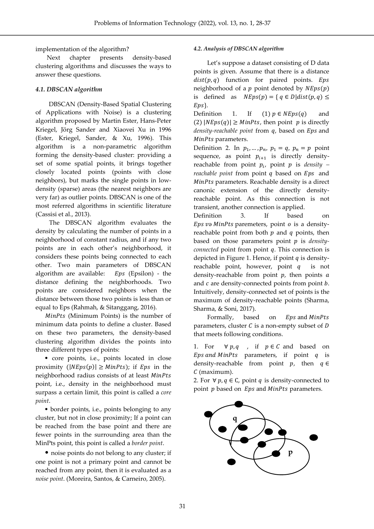implementation of the algorithm?

Next chapter presents density-based clustering algorithms and discusses the ways to answer these questions.

### *4.1. DBSCAN algorithm*

DBSCAN (Density-Based Spatial Clustering of Applications with Noise) is a clustering algorithm proposed by Martin Ester, Hans-Peter Kriegel, Jörg Sander and Xiaovei Xu in 1996 (Ester, Kriegel, Sander, & Xu, 1996). This algorithm is a non-parametric algorithm forming the density-based cluster: providing a set of some spatial points, it brings together closely located points (points with close neighbors), but marks the single points in lowdensity (sparse) areas (the nearest neighbors are very far) as outlier points. DBSCAN is one of the most referred algorithms in scientific literature (Cassisi et al., 2013).

The DBSCAN algorithm evaluates the density by calculating the number of points in a neighborhood of constant radius, and if any two points are in each other's neighborhood, it considers these points being connected to each other. Two main parameters of DBSCAN algorithm are available:  $Eps$  (Epsilon) - the distance defining the neighborhoods. Two points are considered neighbors when the distance between those two points is less than or equal to Eps (Rahmah, & Sitanggang, 2016).

MinPts (Minimum Points) is the number of minimum data points to define a cluster. Based on these two parameters, the density-based clustering algorithm divides the points into three different types of points:

• core points, i.e., points located in close proximity  $(|NEps(p)| \geq MinPts)$ ; if Eps in the neighborhood radius consists of at least point, i.e., density in the neighborhood must surpass a certain limit, this point is called a *core point*.

• border points, i.e., points belonging to any cluster, but not in close proximity; If a point can be reached from the base point and there are fewer points in the surrounding area than the MinPts point, this point is called a *border point*.

• noise points do not belong to any cluster; if one point is not a primary point and cannot be reached from any point, then it is evaluated as a *noise point*. (Moreira, Santos, & Carneiro, 2005).

### *4.2. Analysis of DBSCAN algorithm*

Let's suppose a dataset consisting of D data points is given. Assume that there is a distance  $dist(p, q)$  function for paired points. Eps neighborhood of a  $p$  point denoted by  $N E p s(p)$ is defined as  $N E p s(p) = \{ q \in D | dist(p, q) \le$  $Eps$ .

Definition 1. If  $(1) p \in NEps(q)$  and (2)  $|NEps(q)| \geq MinPts$ , then point p is directly *density-reachable point* from  $q$ , based on *Eps* and MinPts parameters.

Definition 2. In  $p_1, \ldots, p_n$ ,  $p_1 = q$ ,  $p_n = p$  point sequence, as point  $p_{i+1}$  is directly densityreachable from point  $p_i$ , point  $p$  is *density* – *reachable point* from point q based on *Eps* and MinPts parameters. Reachable density is a direct canonic extension of the directly densityreachable point. As this connection is not transient, another connection is applied.

Definition 3. If based on Eps və MinPts paremeters, point  $o$  is a densityreachable point from both  $p$  and  $q$  points, then based on those parameters point is *densityconnected* point from point q. This connection is depicted in Figure 1. Hence, if point  $q$  is densityreachable point, however, point  $q$  is not density-reachable from point  $p$ , then points  $a$ and  $c$  are density-connected points from point  $b$ . Intuitively, density-connected set of points is the maximum of density-reachable points (Sharma, Sharma, & Soni, 2017).

Formally, based on  $Eps$  and  $MinPts$ parameters, cluster  $C$  is a non-empty subset of  $D$ that meets following conditions.

1. For  $\forall p, q$ , if  $p \in C$  and based on Eps and MinPts parameters, if point  $q$  is density-reachable from point  $p$ , then  $q \in$ (maximum).

2. For ∀  $p, q \in \mathbb{C}$ , point  $q$  is density-connected to point  $p$  based on  $Eps$  and  $MinPts$  parameters.

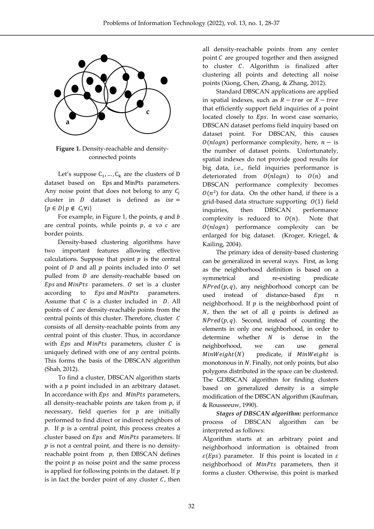

**Figure 1.** Density-reachable and densityconnected points

Let's suppose  $C_1$ , ...,  $C_k$  are the clusters of D dataset based on Eps and MinPts parameters. Any noise point that does not belong to any  $C_i$ cluster in  $D$  dataset is defined as  $ise =$  ${p \in D | p \notin C_i \forall i}$ 

For example, in Figure 1, the points,  $q$  and  $b$ are central points, while points  $p$ ,  $a$  və  $c$  are border points.

Density-based clustering algorithms have two important features allowing effective calculations. Suppose that point  $p$  is the central point of  $D$  and all  $p$  points included into  $O$  set pulled from  $D$  are density-reachable based on  $Eps$  and  $MinPts$  parameters.  $0$  set is a cluster according to *Eps and MinPts* parameters. Assume that  $C$  is a cluster included in  $D$ . All points of  $C$  are density-reachable points from the central points of this cluster. Therefore, cluster  $C$ consists of all density-reachable points from any central point of this cluster. Thus, in accordance with  $Eps$  and  $MinPts$  parameters, cluster  $C$  is uniquely defined with one of any central points. This forms the basis of the DBSCAN algorithm (Shah, 2012).

To find a cluster, DBSCAN algorithm starts with a  $p$  point included in an arbitrary dataset. In accordance with  $Eps$  and  $MinPts$  parameters, all density-reachable points are taken from  $p$ , if necessary, field queries for  $p$  are initially performed to find direct or indirect neighbors of  $p$ . If  $p$  is a central point, this process creates a cluster based on  $Eps$  and  $MinPts$  parameters. If  $p$  is not a central point, and there is no densityreachable point from  $p$ , then DBSCAN defines the point  $p$  as noise point and the same process is applied for following points in the dataset. If  $p$ is in fact the border point of any cluster  $C$ , then

all density-reachable points from any center point  $C$  are grouped together and then assigned to cluster  $C$ . Algorithm is finalized after clustering all points and detecting all noise points (Xiong, Chen, Zhang, & Zhang, 2012).

Standard DBSCAN applications are applied in spatial indexes, such as  $R - tree$  or  $X - tree$ that efficiently support field inquiries of a point located closely to  $Eps$ . In worst case scenario, DBSCAN dataset perfoms field inquiry based on dataset point. For DBSCAN, this causes  $O(nlog n)$  performance complexity, here,  $n -$  is the number of dataset points. Unfortunately, spatial indexes do not provide good results for big data, i.e., field inquiries performance is deteriorated from  $O(n \log n)$  to  $O(n)$  and DBSCAN performance complexity becomes  $O(n^2)$  for data. On the other hand, if there is a grid-based data structure supporting  $0(1)$  field inquiries, then DBSCAN performance complexity is reduced to  $O(n)$ . Note that  $O(nlog n)$  performance complexity can be enlarged for big dataset. (Kroger, Kriegel, & Kailing, 2004).

The primary idea of density-based clustering can be generalized in several ways. First, as long as the neighborhood definition is based on a symmetrical and re-existing predicate  $NPred(p, q)$ , any neighborhood concept can be used instead of distance-based Eps n neighborhood. If  $p$  is the neighborhood point of  $N$ , then the set of all  $q$  points is defined as  $NPred(p, q)$ . Second, instead of counting the elements in only one neighborhood, in order to determine whether  $N$  is dense in the neighborhood, we can use general  $MinWeight(N)$  predicate, if  $MinWeight$  is monotonous in  $N$ . Finally, not only points, but also polygons distributed in the space can be clustered. The GDBSCAN algorithm for finding clusters based on generalized density is a simple modification of the DBSCAN algorithm (Kaufman, & Rousseeuw, 1990).

*Stages of DBSCAN algorithm:* performance process of DBSCAN algorithm can be interpreted as follows:

Algorithm starts at an arbitrary point and neighborhood information is obtained from  $\varepsilon(Eps)$  parameter. If this point is located in  $\varepsilon$ neighborhood of MinPts parameters, then it forms a cluster. Otherwise, this point is marked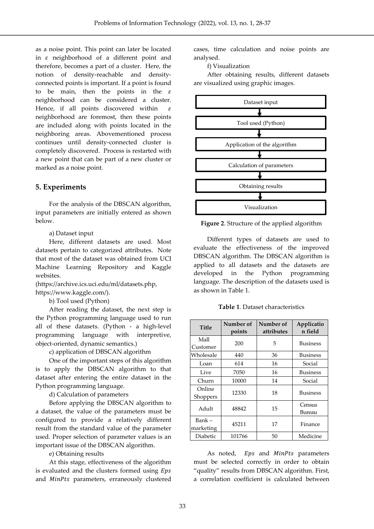as a noise point. This point can later be located in  $\varepsilon$  neighborhood of a different point and therefore, becomes a part of a cluster. Here, the notion of density-reachable and densityconnected points is important. If a point is found to be main, then the points in the  $\varepsilon$ neighborhood can be considered a cluster. Hence, if all points discovered within  $\varepsilon$ neighborhood are foremost, then these points are included along with points located in the neighboring areas. Abovementioned process continues until density-connected cluster is completely discovered. Process is restarted with a new point that can be part of a new cluster or marked as a noise point.

### **5. Experiments**

For the analysis of the DBSCAN algorithm, input parameters are initially entered as shown below.

a) Dataset input

Here, different datasets are used. Most datasets pertain to categorized attributes. Note that most of the dataset was obtained from UCI Machine Learning Repository and Kaggle websites.

[\(https://archive.ics.uci.edu/ml/datasets.php,](https://archive.ics.uci.edu/ml/datasets.php) https://www.kaggle.com/).

b) Tool used (Python)

After reading the dataset, the next step is the Python programming language used to run all of these datasets. (Python - a high-level programming language with interpretive, object-oriented, dynamic semantics.)

c) application of DBSCAN algorithm

One of the important steps of this algorithm is to apply the DBSCAN algorithm to that dataset after entering the entire dataset in the Python programming language.

d) Calculation of parameters

Before applying the DBSCAN algorithm to a dataset, the value of the parameters must be configured to provide a relatively different result from the standard value of the parameter used. Proper selection of parameter values is an important issue of the DBSCAN algorithm.

e) Obtaining results

At this stage, effectiveness of the algorithm is evaluated and the clusters formed using Eps and MinPts parameters, erraneously clustered

cases, time calculation and noise points are analysed.

f) Visualization

After obtaining results, different datasets are visualized using graphic images.



**Figure 2**. Structure of the applied algorithm

Different types of datasets are used to evaluate the effectiveness of the improved DBSCAN algorithm. The DBSCAN algorithm is applied to all datasets and the datasets are developed in the Python programming language. The description of the datasets used is as shown in Table 1.

**Table 1**. Dataset characteristics

| <b>Title</b> | Number of | Number of  | Applicatio      |  |
|--------------|-----------|------------|-----------------|--|
|              | points    | attributes | n field         |  |
| Mall         | 200       | 5          | <b>Business</b> |  |
| Customer     |           |            |                 |  |
| Wholesale    | 440       | 36         | Business        |  |
| Loan         | 614       | 16         | Social          |  |
| Live         | 7050      | 16         | <b>Business</b> |  |
| Churn        | 10000     | 14         | Social          |  |
| Online       | 12330     | 18         | <b>Business</b> |  |
| Shoppers     |           |            |                 |  |
| Adult        | 48842     | 15         | Census          |  |
|              |           |            | Bureau          |  |
| Bank –       | 45211     | 17         | Finance         |  |
| marketing    |           |            |                 |  |
| Diabetic     | 101766    | 50         | Medicine        |  |

As noted, Eps and MinPts parameters must be selected correctly in order to obtain "quality" results from DBSCAN algorithm. First, a correlation coefficient is calculated between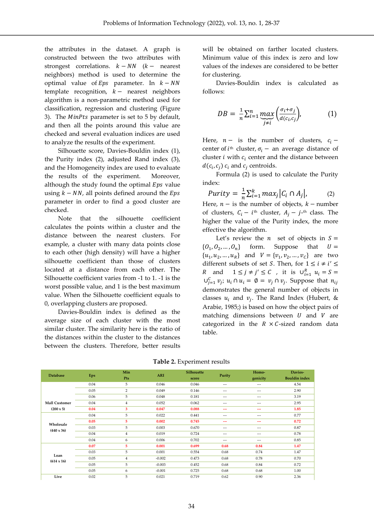the attributes in the dataset. A graph is constructed between the two attributes with strongest correlations.  $k - NN$  ( $k -$  nearest neighbors) method is used to determine the optimal value of  $Eps$  parameter. In  $k - NN$ template recognition,  $k -$  nearest neighbors algorithm is a non-parametric method used for classification, regression and clustering (Figure 3). The  $MinPts$  parameter is set to 5 by default, and then all the points around this value are checked and several evaluation indices are used to analyze the results of the experiment.

Silhouette score, Davies-Bouldin index (1), the Purity index (2), adjusted Rand index (3), and the Homogeneity index are used to evaluate the results of the experiment. Moreover, although the study found the optimal  $Eps$  value using  $k - NN$ , all points defined around the *Eps* parameter in order to find a good cluster are checked.

Note that the silhouette coefficient calculates the points within a cluster and the distance between the nearest clusters. For example, a cluster with many data points close to each other (high density) will have a higher silhouette coefficient than those of clusters located at a distance from each other. The Silhouette coefficient varies from -1 to 1. -1 is the worst possible value, and 1 is the best maximum value. When the Silhouette coefficient equals to 0, overlapping clusters are proposed.

Davies-Bouldin index is defined as the average size of each cluster with the most similar cluster. The similarity here is the ratio of the distances within the cluster to the distances between the clusters. Therefore, better results will be obtained on farther located clusters. Minimum value of this index is zero and low values of the indexes are considered to be better for clustering.

Davies-Bouldin index is calculated as follows:

$$
DB = \frac{1}{n} \sum_{i=1}^{n} \underbrace{max}_{j \neq i} \left( \frac{\sigma_i + \sigma_j}{d(c_i, c_j)} \right), \tag{1}
$$

Here,  $n -$  is the number of clusters,  $c_i$  – center of  $i^{\text{th}}$  cluster,  $\sigma_i$  – an average distance of cluster  $i$  with  $c_i$  center and the distance between  $d(c_i, c_j)$   $c_i$  and  $c_j$  centroids.

Formula (2) is used to calculate the Purity index:

$$
Purity = \frac{1}{n} \sum_{i=1}^{k} max_j |C_i \cap A_j|, \qquad (2)
$$

Here,  $n -$  is the number of objects,  $k -$  number of clusters,  $C_i - i$ <sup>th</sup> cluster,  $A_j - j$ <sup>th</sup> class. The higher the value of the Purity index, the more effective the algorithm.

Let's review the  $n$  set of objects in  $S =$  ${0, 0_2$ form. Suppose that  $U =$  $\{u_1, u_2, ..., u_R\}$  and  $V = \{v_1, v_2, ..., v_C\}$  are two different subsets of set *S*. Then, for  $1 \le i \ne i' \le$ R and  $1 \le j \ne j' \le C$ , it is  $\bigcup_{i=1}^{R} u_i = S =$  $\bigcup_{j=1}^{C} v_j$ ;  $u_i \cap u_i = \emptyset = v_j \cap v_j$ . Suppose that  $n_{ij}$ demonstrates the general number of objects in classes  $u_i$  and  $v_j$ . The Rand Index (Hubert, & Arabie, 1985;) is based on how the object pairs of matching dimensions between  $U$  and  $V$  are categorized in the  $R \times C$ -sized random data table.

| <b>Database</b>                | Eps  | Min<br>Pts     | <b>ARI</b> | <b>Silhouette</b><br>score | Purity | Homo-<br>genicity | Davies-<br><b>Bouldin</b> index |
|--------------------------------|------|----------------|------------|----------------------------|--------|-------------------|---------------------------------|
|                                | 0.04 | 5              | 0.046      | 0.046                      | ---    | $---$             | 4.54                            |
|                                | 0.05 | $\overline{2}$ | 0.049      | 0.146                      | ---    | $- - -$           | 2.90                            |
|                                | 0.06 | 5              | 0.048      | 0.181                      | ---    | $- - -$           | 3.19                            |
| <b>Mall Customer</b>           | 0.04 | $\overline{4}$ | 0.052      | 0.062                      | ---    | $- - -$           | 2.95                            |
| $(200 \times 5)$               | 0.04 | 3              | 0.047      | 0.088                      | ---    | ---               | 1.85                            |
| Wholesale<br>$(440 \times 36)$ | 0.04 | 5              | 0.022      | 0.441                      | ---    | $---$             | 0.77                            |
|                                | 0.05 | 5              | 0.002      | 0.745                      | ---    | ---               | 0.72                            |
|                                | 0.03 | 5              | 0.003      | 0.670                      | ---    | $- - -$           | 0.87                            |
|                                | 0.04 | $\overline{4}$ | 0.019      | 0.724                      | ---    | $- - -$           | 0.78                            |
|                                | 0.04 | 6              | 0.006      | 0.702                      | ---    | $- - -$           | 0.85                            |
| Loan<br>$(614 \times 16)$      | 0.07 | 5              | 0.001      | 0.699                      | 0.68   | 0.84              | 1.47                            |
|                                | 0.03 | 5              | 0.001      | 0.554                      | 0.68   | 0.74              | 1.47                            |
|                                | 0.05 | $\overline{4}$ | $-0.002$   | 0.473                      | 0.68   | 0.78              | 0.70                            |
|                                | 0.05 | 5              | $-0.003$   | 0.452                      | 0.68   | 0.84              | 0.72                            |
|                                | 0.05 | 6              | $-0.001$   | 0.725                      | 0.68   | 0.68              | 1.00                            |
| Live                           | 0.02 | 5              | 0.021      | 0.719                      | 0.62   | 0.90              | 2.36                            |

#### **Table 2.** Experiment results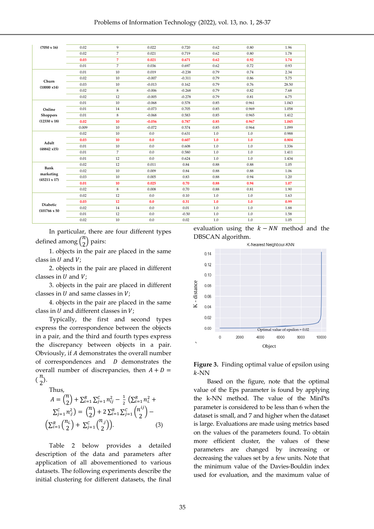| $(7050 \times 16)$                               | 0.02  | 9              | 0.022    | 0.720    | 0.62 | 0.80  | 1.96  |
|--------------------------------------------------|-------|----------------|----------|----------|------|-------|-------|
|                                                  | 0.02  | $\overline{7}$ | 0.021    | 0.719    | 0.62 | 0.80  | 1.78  |
|                                                  | 0.03  | $\overline{7}$ | 0.021    | 0.671    | 0.62 | 0.92  | 1.74  |
|                                                  | 0.01  | $\overline{7}$ | 0.036    | 0.697    | 0.62 | 0.72  | 0.93  |
|                                                  | 0.01  | 10             | 0.019    | $-0.238$ | 0.79 | 0.74  | 2.34  |
| Churn                                            | 0.02  | 10             | $-0.007$ | $-0.311$ | 0.79 | 0.86  | 5.75  |
| (10000 x14)                                      | 0.03  | 10             | $-0.013$ | 0.162    | 0.79 | 0.76  | 28.50 |
|                                                  | 0.02  | 8              | $-0.006$ | $-0.268$ | 0.79 | 0.82  | 7.68  |
|                                                  | 0.02  | 12             | $-0.005$ | $-0.278$ | 0.79 | 0.81  | 6.75  |
|                                                  | 0.01  | 10             | $-0.068$ | 0.578    | 0.85 | 0.961 | 1.043 |
| Online<br><b>Shoppers</b><br>$(12330 \times 18)$ | 0.01  | 14             | $-0.073$ | 0.705    | 0.85 | 0.969 | 1.058 |
|                                                  | 0.01  | $\,$ 8 $\,$    | $-0.068$ | 0.583    | 0.85 | 0.965 | 1.412 |
|                                                  | 0.02  | 10             | $-0.056$ | 0.787    | 0.85 | 0.967 | 1.045 |
|                                                  | 0.009 | 10             | $-0.072$ | 0.574    | 0.85 | 0.964 | 1.099 |
| Adult<br>$(48842 \times 15)$                     | 0.02  | 10             | 0.0      | 0.631    | 1.0  | 1.0   | 0.988 |
|                                                  | 0.03  | 10             | 0.0      | 0.607    | 1.0  | 1.0   | 0.804 |
|                                                  | 0.01  | 10             | 0.0      | 0.608    | 1.0  | 1.0   | 1.336 |
|                                                  | 0.01  | $\overline{7}$ | 0.0      | 0.580    | 1.0  | 1.0   | 1.411 |
|                                                  | 0.01  | 12             | 0.0      | 0.624    | 1.0  | 1.0   | 1.434 |
| Bank                                             | 0.02  | 12             | 0.011    | 0.84     | 0.88 | 0.88  | 1.05  |
|                                                  | 0.02  | 10             | 0.009    | 0.84     | 0.88 | 0.88  | 1.06  |
| marketing<br>$(45211 \times 17)$                 | 0.03  | 10             | 0.005    | 0.83     | 0.88 | 0.94  | 1.20  |
|                                                  | 0.01  | 10             | 0.025    | 0.70     | 0.88 | 0.94  | 1.07  |
|                                                  | 0.02  | 8              | 0.008    | 0.70     | 0.88 | 0.81  | 1.90  |
| Diabetic<br>$(101766 \times 50)$                 | 0.02  | 12             | 0.0      | 0.10     | 1.0  | 1.0   | 1.63  |
|                                                  | 0.03  | 12             | 0.0      | 0.31     | 1.0  | 1.0   | 0.99  |
|                                                  | 0.02  | 14             | 0.0      | 0.01     | 1.0  | 1.0   | 1.88  |
|                                                  | 0.01  | 12             | 0.0      | $-0.50$  | 1.0  | 1.0   | 1.58  |
|                                                  | 0.02  | 10             | 0.0      | 0.02     | 1.0  | 1.0   | 1.05  |

In particular, there are four different types defined among  $\binom{n}{2}$  $\binom{1}{2}$  pairs:

1. objects in the pair are placed in the same class in  $U$  and  $V$ ;

2. objects in the pair are placed in different classes in  $U$  and  $V$ ;

3. objects in the pair are placed in different classes in  $U$  and same classes in  $V$ ;

4. objects in the pair are placed in the same class in  $U$  and different classes in  $V$ ;

Typically, the first and second types express the correspondence between the objects in a pair, and the third and fourth types express the discrepancy between objects in a pair. Obviously, if demonstrates the overall number of correspondences and  $D$  demonstrates the overall number of discrepancies, then  $A + D =$  $\binom{n}{2}$  $\binom{n}{2}$ .

Thus,

$$
A = {n \choose 2} + \sum_{i=1}^{R} \sum_{j=1}^{C} n_{ij}^{2} - \frac{1}{2} \left( \sum_{i=1}^{R} n_{i}^{2} + \sum_{j=1}^{C} n_{j}^{2} \right) = {n \choose 2} + 2 \sum_{i=1}^{R} \sum_{j=1}^{C} {n_{ij}^{ij} \choose 2} - \left( \sum_{i=1}^{R} {n_{i} \choose 2} + \sum_{j=1}^{C} {n_{j} \choose 2} \right).
$$
 (3)

Table 2 below provides a detailed description of the data and parameters after application of all abovementioned to various datasets. The following experiments describe the initial clustering for different datasets, the final

evaluation using the  $k - NN$  method and the DBSCAN algorithm.



**Figure 3.** Finding optimal value of epsilon using  $k$ -NN

Based on the figure, note that the optimal value of the Eps parameter is found by applying the k-NN method. The value of the MinPts parameter is considered to be less than 6 when the dataset is small, and 7 and higher when the dataset is large. Evaluations are made using metrics based on the values of the parameters found. To obtain more efficient cluster, the values of these parameters are changed by increasing or decreasing the values set by a few units. Note that the minimum value of the Davies-Bouldin index used for evaluation, and the maximum value of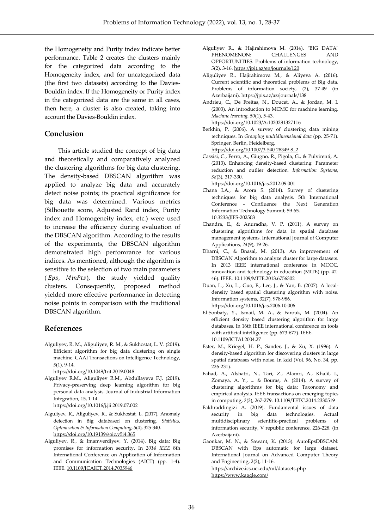the Homogeneity and Purity index indicate better performance. Table 2 creates the clusters mainly for the categorized data according to the Homogeneity index, and for uncategorized data (the first two datasets) according to the Davies-Bouldin index. If the Homogeneity or Purity index in the categorized data are the same in all cases, then here, a cluster is also created, taking into account the Davies-Bouldin index.

### **Conclusion**

This article studied the concept of big data and theoretically and comparatively analyzed the clustering algorithms for big data clustering. The density-based DBSCAN algorithm was applied to analyze big data and accurately detect noise points; its practical significance for big data was determined. Various metrics (Silhouette score, Adjusted Rand index, Purity index and Homogeneity index, etc.) were used to increase the efficiency during evaluation of the DBSCAN algorithm. According to the results of the experiments, the DBSCAN algorithm demonstrated high perfomrance for various indices. As mentioned, although the algorithm is sensitive to the selection of two main parameters ( $Eps$ ,  $MinPts$ ), the study yielded quality clusters. Consequently, proposed method yielded more effective performance in detecting noise points in comparison with the traditional DBSCAN algorithm.

#### **References**

Alguliyev, R. M., Aliguliyev, R. M., & Sukhostat, L. V. (2019). Efficient algorithm for big data clustering on single machine. CAAI Transactions on Intelligence Technology, *5*(1), 9-14.

<https://doi.org/10.1049/trit.2019.0048>

- Alguliyev R.M., Aliguliyev R.M., Abdullayeva F.J. (2019). Privacy-preserving deep learning algorithm for big personal data analysis. Journal of Industrial Information Integration, 15, 1-14. <https://doi.org/10.1016/j.jii.2019.07.002>
- Alguliyev, R., Aliguliyev, R., & Sukhostat, L. (2017). Anomaly detection in Big databased on clustering. *Statistics, Optimization & Information Computing*, *5*(4), 325-340. <https://doi.org/10.19139/soic.v5i4.365>
- Alguliyev, R., & Imamverdiyev, Y. (2014). Big data: Big promises for information security. In *2014 IEEE* 8th International Conference on Application of Information and Communication Technologies (AICT) (pp. 1-4). IEEE. [10.1109/ICAICT.2014.7035946](https://doi.org/10.1109/ICAICT.2014.7035946)
- Alguliyev R., & Hajirahimova M. (2014). **"**BIG DATA" PHENOMENON: CHALLENGES AND OPPORTUNITIES. Problems of information technology, *5*(2), 3-16. https://jpit.az/en/journals/120
- Aliguliyev R., Hajirahimova M., & Aliyeva A. (2016). Current scientific and theoretical problems of Big data. Problems of information society, (2), 37-49 (in Azerbaijani). https://jpis.az/az/journals/138
- Andrieu, C., De Freitas, N., Doucet, A., & Jordan, M. I. (2003). An introduction to MCMC for machine learning. *Machine learning*, *50*(1), 5-43. <https://doi.org/10.1023/A:1020281327116>

Berkhin, P. (2006). A survey of clustering data mining techniques. In *Grouping multidimensional data* (pp. 25-71). Springer, Berlin, Heidelberg. https://doi.org/10.1007/3-540-28349-8\_2

Cassisi, C., Ferro, A., Giugno, R., Pigola, G., & Pulvirenti, A. (2013). Enhancing density-based clustering: Parameter reduction and outlier detection. *Information Systems*, *38*(3), 317-330.

<https://doi.org/10.1016/j.is.2012.09.001>

- Chana I.A., & Arora S. (2014). Survey of clustering techniques for big data analysis. 5th International Conference - Confluence the Next Generation Information Technology Summit, 59-65. 10.3233/JIFS-202503
- Chandra, E., & Anuradha, V. P. (2011). A survey on clustering algorithms for data in spatial database management systems. International Journal of Computer Applications, *24*(9), 19-26.
- Dharni, C., & Bnasal, M. (2013). An improvement of DBSCAN Algorithm to analyze cluster for large datasets. In 2013 IEEE international conference in MOOC, innovation and technology in education (MITE) (pp. 42- 46). IEEE. [10.1109/MITE.2013.6756302](https://doi.org/10.1109/MITE.2013.6756302)
- Duan, L., Xu, L., Guo, F., Lee, J., & Yan, B. (2007). A localdensity based spatial clustering algorithm with noise. Information systems, 32(7), 978-986. <https://doi.org/10.1016/j.is.2006.10.006>
- El-Sonbaty, Y., Ismail, M. A., & Farouk, M. (2004). An efficient density based clustering algorithm for large databases. In 16th IEEE international conference on tools with artificial intelligence (pp. 673-677). IEEE. [10.1109/ICTAI.2004.27](https://doi.org/10.1109/ICTAI.2004.27)
- Ester, M., Kriegel, H. P., Sander, J., & Xu, X. (1996). A density-based algorithm for discovering clusters in large spatial databases with noise. In kdd (Vol. 96, No. 34, pp. 226-231).
- Fahad, A., Alshatri, N., Tari, Z., Alamri, A., Khalil, I., Zomaya, A. Y., ... & Bouras, A. (2014). A survey of clustering algorithms for big data: Taxonomy and empirical analysis. IEEE transactions on emerging topics in computing, *2*(3), 267-279. [10.1109/TETC.2014.2330519](https://doi.org/10.1109/TETC.2014.2330519)
- Fakhraddingizi A. (2019). Fundamental issues of data security in big data technologies. Actual multidisciplinary scientific-practical problems of information security, V republic conference, 226-228. (in Azerbaijani).
- Gaonkar, M. N., & Sawant, K. (2013). AutoEpsDBSCAN: DBSCAN with Eps automatic for large dataset. International Journal on Advanced Computer Theory and Engineering, 2(2), 11-16. <https://archive.ics.uci.edu/ml/datasets.php> <https://www.kaggle.com/>